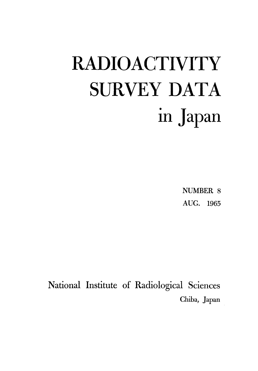# **RADIOACTIVITY SURVEY DATA** in Japan

**NUMBER 8** AUG. 1965

National Institute of Radiological Sciences Chiba, Japan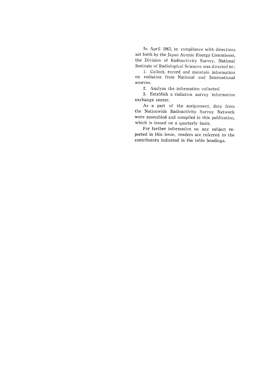In April 1963, in compliance with directives set forth by the Japan Atomic Energy Commisson, the Division of Radioactivity Survey, National Institute of Radiological Sciences was directed to:

1. Collect, record and maintain information on radiation from National and International sources.

2. Analyze the information collected.

3. Establish a radiation survey information exchange center.

As a part of the assignment, data from the Nationwide Radioactivity Survey Network were assembled and compiled in this publication, which is issued on a quarterly basis.

For further information on any subject reported in this issue, readers are referred to the contributors indicated in the table headings.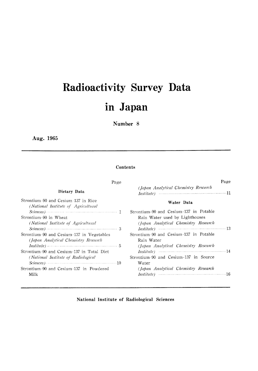# Radioactivity Survey Data in Japan

#### Number 8

Aug. 1965

#### Contents

| Page                                                                                                                    | Page                                   |
|-------------------------------------------------------------------------------------------------------------------------|----------------------------------------|
| Dietary Data                                                                                                            | (Japan Analytical Chemistry Research   |
| Strontium-90 and Cesium-137 in Rice<br>(National Institute of Agricultural                                              | Water Data                             |
| $Science$ $\sim$ 1                                                                                                      | Strontium-90 and Cesium-137 in Potable |
| Strontium-90 in Wheat                                                                                                   | Rain Water used by Lighthouses         |
| (National Institute of Agricultural                                                                                     | (Japan Analytical Chemistry Research   |
| $Science$ $\sim$ 3                                                                                                      |                                        |
| Strontium-90 and Cesium-137 in Vegetables                                                                               | Strontium-90 and Cesium-137 in Potable |
| (Japan Analytical Chemistry Research                                                                                    | Rain Water                             |
| $Institute) \dots 5$                                                                                                    | (Japan Analytical Chemistry Research   |
| Strontium-90 and Cesium-137 in Total Diet                                                                               |                                        |
| (National Institute of Radiological                                                                                     | Strontium-90 and Cesium-137 in Source  |
| $Science$ ) $\cdots$ $\cdots$ $\cdots$ $\cdots$ $\cdots$ $\cdots$ $\cdots$ $\cdots$ $\cdots$ $\cdots$ $\cdots$ $\cdots$ | Water                                  |
| Strontium-90 and Cesium-137 in Powdered                                                                                 | (Japan Analytical Chemistry Research   |
| Milk                                                                                                                    |                                        |

National Institute of Radiological Sciences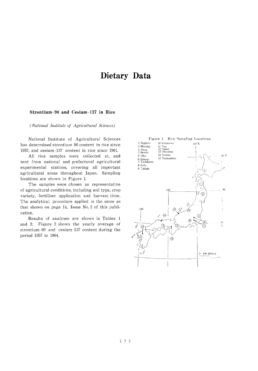## Dietary Data

#### Strontium-90 and Cesium-137 in Rice

(National Institute of Agricultural Sciences)

National Institute of Agricultural Sciences has determined strontium-90 content in rice since 1957, and cesium-137 content in rice since 1961.

All rice samples were collected at, and sent from national and prefectural agricultural experimental stations, covering all important agricultural areas throughout Japan. Sampling locations are shown in Figure 1.

The samples were chosen as representative of agricultural conditions, including soil type, crop variety, fertilizer application and harvest time. The analytical procedure applied is the same as that shown on page 14, Issue No. 3 of this publication.

Results of analyses are shown in Tables 1 and 2. Figure 2 shows the yearly average of strontium-90 and cesium-137 content during the period 1957 to 1964.

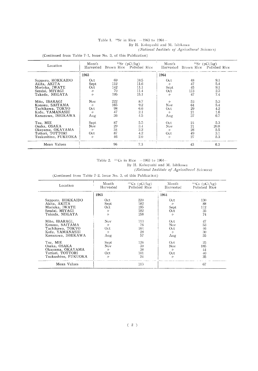#### Table 1.  $^{90}Sr$  in Rice -1963 to 1964-By H. Kobayashi and M. Ishikawa

(National Institute of Agricultural Sciences)

(Continued from Table 7-1, Issue No. 3, of this Publication)

| Location            | Month             |     | $^{90}Sr$ (pCi/kg)<br>Harvested Brown Rice Polished Rice | Month             |     | $^{90}Sr$ (pCi/kg)<br>Harvested Brown Rice Polished Rice |
|---------------------|-------------------|-----|----------------------------------------------------------|-------------------|-----|----------------------------------------------------------|
|                     | 1963              |     |                                                          | 1964              |     |                                                          |
| Sapporo, HOKKAIDO   | Oct.              | -69 | 10.5                                                     | Oct               | 48  | 9.1                                                      |
| Akita, AKITA        | Sept              | 112 | 11.6                                                     | $\prime$          | 47  | 5.4                                                      |
| Morioka, IWATE      | Oct               | 142 | 11.1                                                     | Sept              | 45  | 9.1                                                      |
| Sendai, MIYAGI      | $\prime$          | 70  | 11.4                                                     | Oct.              | 113 | 2.3                                                      |
| Takada, NIIGATA     | $\prime$          | 195 | 15.1                                                     | $^{\prime\prime}$ | 47  | 7.4                                                      |
| Mito, IBARAGI       | Nov.              | 222 | 8.7                                                      | $^{\prime\prime}$ | 53  | 5.3                                                      |
| Konosu, SAITAMA     | $^{\prime\prime}$ | 165 | 9.2                                                      | Nov.              | 64  | 5.4                                                      |
| Tachikawa, TOKYO    | Oct.              | 98  | 6.6                                                      | Oct               | 29  | 4.2                                                      |
| Kofu, YAMANASHI     | $^{\prime\prime}$ | 47  | 2.1                                                      | $^{\prime\prime}$ | 21  | 1.6                                                      |
| Kanazawa, ISHIKAWA  | Aug               | 36  | 4.5                                                      | Aug               | 37  | 6.7                                                      |
| Tsu, MIE            | Sept              | 87  | 5.5                                                      | Oct               | 24  | 5.3                                                      |
| Osaka, OSAKA        | Nov.              | 29  | 3.4                                                      | Nov               | 21  | 20.8                                                     |
| Okayama, OKAYAMA    | $^{\prime\prime}$ | 34  | 3.2                                                      | $^{\prime\prime}$ | 26  | 5.5                                                      |
| Tottori, TOTTORI    | Oct               | 87  | 4.2                                                      | Oct.              | 49  | 3.1                                                      |
| Tsukushino, FUKUOKA | $\prime$          | 46  | 2.0                                                      | $^{\prime\prime}$ | 27  | 5.3                                                      |
| Mean Values         |                   | 96  | 7.3                                                      |                   | 43  | 6.3                                                      |

#### Table 2.  $137$ Cs in Rice  $-1963$  to 1964--

By H. Kobayashi and M. Ishikawa

(National Institute of Agriculturel Sciences)

(Continued from Table 7-2, Issue No. 3, of this Publication)

| Location            | Month<br>Harvested | $^{137}Cs$ (pCi/kg)<br>Polished Rice | Month<br>Harvested | $^{137}Cs$ (pCi/kg)<br>Polished Rice |
|---------------------|--------------------|--------------------------------------|--------------------|--------------------------------------|
|                     | 1963               |                                      | 1964               |                                      |
| Sapporo, HOKKAIDO   | Oct                | 220                                  | Oct.               | 130                                  |
| Akita, AKITA        | Sept               | 182                                  | $^{\prime\prime}$  | 88                                   |
| Morioka, IWATE      | Oct                | 195                                  | Sept               | 112                                  |
| Sendai. MIYAGI      | $^{\prime\prime}$  | 182                                  | Oct                | 35                                   |
| Takada, NIIGATA     | 11                 | 158                                  | 11                 | 74                                   |
| Mito, IBARAGI,      | Nov                | 113                                  | Oct.               | 47                                   |
| Konosu, SAITAMA     | $^{\prime\prime}$  | 76                                   | Nov                | 53                                   |
| Tachikawa, TOKYO    | Oct.               | 164                                  | Oct.               | 46                                   |
| Kofu, YAMANASHI     | $^{\prime\prime}$  | 28                                   | $^{\prime\prime}$  | 30                                   |
| Kanazawa, ISHIKAWA  | Aug.               | 57                                   | Aug                | 55                                   |
| Tsu, MIE            | Sept               | 126                                  | Oct                | 25                                   |
| Osaka. OSAKA        | Nov.               | 30                                   | Nov.               | 185                                  |
| Okayama, OKAYAMA    | $^{\prime\prime}$  | 38                                   | $\prime\prime$     | 44                                   |
| Tottori, TOTTORI    | Oct                | 101                                  | Oct                | 40                                   |
| Tsukushino, FUKUOKA | $^{\prime\prime}$  | 24                                   | $^{\prime\prime}$  | 35                                   |
| Mean Values         |                    | 113                                  |                    | 67                                   |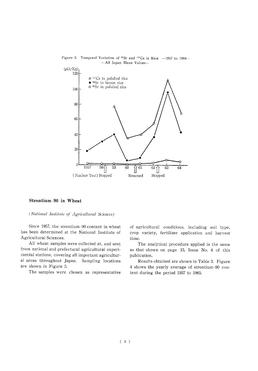

# Figure 2. Temporal Variation of  $^{90}Sr$  and  $^{137}Cs$  in Rice -1957 to 1964-

#### Strontium-90 in Wheat

#### (National Institute of Agricultural Sciences)

Since 1957, the strontium-90 content in wheat has been determined at the National Institute of Agricultural Sciences.

All wheat samples were collected at, and sent from national and prefectural agricultural experimental stations, covering all important agricultural areas throughout Japan. Sampling locations are shown in Figure 3.

The samples were chosen as representative

of agricultural conditions, including soil type, crop variety, fertilizer application and harvest time.

The analytical procedure applied is the same as that shown on page 15, Issue No. 6 of this publication.

Results obtained are shown in Table 3. Figure 4 shows the yearly average of strontium-90 content during the period 1957 to 1965.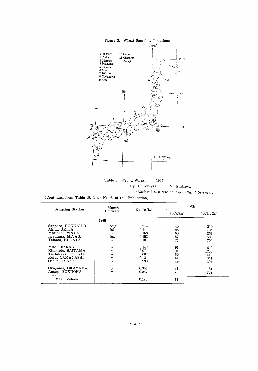

Table 3. <sup>90</sup>Sr in Wheat  $-1965-$ By H. Kobayashi and M. Ishikawa (National Institute of Agricultural Sciences)

(Continued from Table 10, Issue No. 6, of this Publication)

| Sampling Station                                                                          | Month                                                   | $Ca$ $(g/kg)$                             | 90Sr                        |                                  |  |  |
|-------------------------------------------------------------------------------------------|---------------------------------------------------------|-------------------------------------------|-----------------------------|----------------------------------|--|--|
|                                                                                           | Harvested                                               |                                           | (pCi/kg)                    | (pCi/gCa)                        |  |  |
|                                                                                           | 1965                                                    |                                           |                             |                                  |  |  |
| Sapporo, HOKKAIDO<br>Akita, AKITA<br>Morioka, IWATE<br>Iwanuma, MIYAGI<br>Takada, NIIGATA | Aug<br>Jul<br>$\prime$<br>Jun<br>$\prime$               | 0.214<br>0.141<br>0.168<br>0.152<br>0.101 | 45<br>198<br>60<br>87<br>71 | 210<br>1404<br>357<br>586<br>700 |  |  |
| Mito, IBARAGI<br>Kitamoto, SAITAMA<br>Tachikawa. TOKYO<br>Kofu, YAMANASHI<br>Osaka. OSAKA | $^{\prime\prime}$<br>n<br>11<br>$^{\prime\prime}$<br>11 | 0.147<br>0.071<br>0.097<br>0.121<br>0.238 | 91<br>91<br>50<br>41<br>49  | 619<br>1283<br>510<br>341<br>204 |  |  |
| Okavama, OKAYAMA<br>Amagi, FUKUOKA                                                        | $^{\prime\prime}$<br>11                                 | 0.364<br>0.267                            | 31<br>70                    | 84<br>239                        |  |  |
| Mean Values                                                                               |                                                         | 0.173                                     | 74                          |                                  |  |  |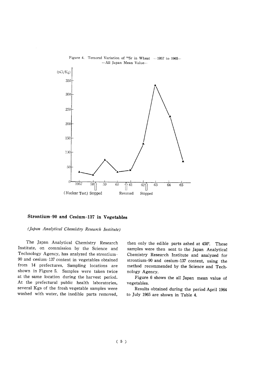



#### Strontium-90 and Cesium-137 in Vegetables

(Japan Analytical Chemistry Research Institute)

The Japan Analytical Chemistry Research Institute, on commission by the Science and Technology Agency, has analyzed the strontium-90 and cesium-137 content in vegetables obtained from 14 prefectures, Sampling locations are shown in Figure 5. Samples were taken twice at the same location during the harvest period. At the prefectural public health laboratories, several Kgs of the fresh vegetable samples were washed with water, the inedible parts removed,

then only the edible parts ashed at 450°. These samples were then sent to the Japan Analytical Chemistry Research Institute and analyzed for strontium-90 and cesium-137 content, using the method recommended by the Science and Technology Agency.

Figure 6 shows the all Japan mean value of vegetables.

Results obtained during the period April 1964 to July 1965 are shown in Table 4.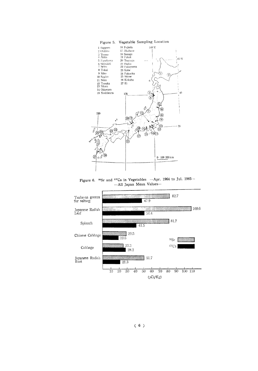

Figure 6.  $^{90}Sr$  and  $^{137}Cs$  in Vegetables --Apr. 1964 to Jul. 1965---All Japan Mean Values-



 $(6)$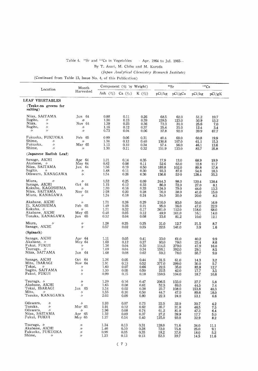#### Table 4. <sup>\$6</sup>Sr and <sup>137</sup>Cs in Vegetables - Apr. 1964 to Jul. 1965-

By T. Asari, M. Chiba and M. Kuroda

(Japan Analytical Chemistry Research Institute)

(Continued from Table 13, Issue No. 4, of this Publication)

| Location                                                                                                                        | Month                                                                                |                                      | Component $(\%$ by Weight)           |                                      |                                        | 90Sr                                   | $137C_S$                              |                                      |
|---------------------------------------------------------------------------------------------------------------------------------|--------------------------------------------------------------------------------------|--------------------------------------|--------------------------------------|--------------------------------------|----------------------------------------|----------------------------------------|---------------------------------------|--------------------------------------|
|                                                                                                                                 | Harvested                                                                            | Ash $(\%)$ Ca $(\%)$                 |                                      | K(96)                                | pCi/kg                                 | pCi/gCa                                | pCi/kg                                | pCi/gK                               |
| <b>LEAF VEGETABLES</b>                                                                                                          |                                                                                      |                                      |                                      |                                      |                                        |                                        |                                       |                                      |
| (Tsuke-na greens for<br>salling)                                                                                                |                                                                                      |                                      |                                      |                                      |                                        |                                        |                                       |                                      |
| Niiza, SAITAMA<br>Sugito,<br>$\prime$<br>Niiza,<br>$^{\prime\prime}$<br>Sugito,<br>11<br>$^{\prime\prime}$<br>$^{\prime\prime}$ | $\text{Jun } 64$<br>$\prime$<br>Nov 64<br>$^{\prime\prime}$<br>$\prime$              | 0.88<br>1.30<br>1.39<br>1.16<br>0.73 | 0.11<br>0.13<br>0.23<br>0.12<br>0.04 | 0.26<br>0.39<br>0.36<br>0.37<br>0.06 | 68.5<br>159.5<br>72.3<br>25.4<br>37.8  | 62.0<br>123.0<br>31.0<br>21.0<br>92.0  | 51.2<br>50.9<br>25.6<br>12.4<br>39.9  | 19.7<br>13.2<br>7.0<br>3.4<br>67.7   |
| Fukuoka, FUKUOKA<br>Shime,<br>$^{\prime\prime}$<br>Fukuoka,<br>$\prime$<br>Shime,<br>$\prime$                                   | Feb 65<br>$\prime$<br>Mar 65<br>$^{\prime\prime}$                                    | 089<br>1.34<br>1.13<br>1.30          | 0.06<br>0.12<br>0.10<br>0.11         | 0.31<br>0.40<br>0.34<br>0.32         | 40.4<br>130.8<br>57.4<br>151.9         | 69.0<br>107.0<br>56.0<br>133.0         | 60.8<br>61.1<br>46.1<br>82.7          | 19.9<br>15.3<br>13.6<br>25.8         |
| (Japanese Radish Leaf)                                                                                                          |                                                                                      |                                      |                                      |                                      |                                        |                                        |                                       |                                      |
| Sanage, AICHI<br>Akabane, $\nu$<br>Niiza, SAITAMA<br>Sugito,<br>$\prime$<br>Odawara, KANAGAWA                                   | Apr $64$<br>May $64$<br>Jun 64<br>11<br>$^{\prime\prime}$                            | 1.21<br>0.82<br>1.56<br>1.48<br>1.54 | 0.14<br>0.08<br>0.19<br>0.11<br>0.26 | 0.35<br>0.11<br>0.50<br>0.30<br>0.36 | 17.9<br>52.6<br>189.8<br>93.3<br>136.6 | 13.0<br>63.0<br>102.0<br>87.0<br>53.0  | 68.9<br>12.8<br>89.8<br>54.8<br>128.4 | 19.9<br>11.7<br>17.8<br>18.3<br>35.3 |
| Miura,<br>$^{\prime\prime}$<br>Sanage, AICHI<br>Kokubu, KAGOSHIMA<br>Niiza, SAITAMA<br>Miura, KANAGAWA                          | n<br>Oct 64<br>$^{\prime\prime}$<br>Nov 64<br>$^{\prime\prime}$                      | 1.52<br>1.15<br>1.30<br>1.28<br>1.34 | 0.25<br>0.12<br>0.16<br>0.20<br>0.18 | 0.09<br>0.33<br>0.33<br>0.28<br>0.24 | 244.3<br>86.0<br>124.0<br>76.0<br>34.0 | 98.0<br>72.0<br>79.0<br>38.0<br>20.0   | 120.4<br>27.0<br>44.0<br>41.0<br>20.0 | 138.4<br>8.1<br>13.3<br>15.0<br>8.3  |
| Akabane, AICHI<br>Ei, KAGOSHIMA<br>Kokubu, /<br>Akabane, AICHI<br>Tozuka, KANAGAWA                                              | $^{\prime\prime}$<br>Feb 65<br>$\prime$<br>May 65<br>Jun 65                          | 1.71<br>1.49<br>1.71<br>0.48<br>0.32 | 0.26<br>0.26<br>0.32<br>0.05<br>0.04 | 0.29<br>0.21<br>0.17<br>0.12<br>0.08 | 216.0<br>95.0<br>361.0<br>49.9<br>33,6 | 83.0<br>36.0<br>112.0<br>101.0<br>81.2 | 50.0<br>47.0<br>118.0<br>16.1<br>10.0 | 16.9<br>22.9<br>68.0<br>14.0<br>12.1 |
| Miura,<br>11<br>Sanage, AICHI                                                                                                   | $^{\prime\prime}$<br>$\prime$                                                        | 1.28<br>0.57                         | 0.25<br>0.02                         | 0.25<br>0.25                         | 31.0<br>22.5                           | 12.7<br>141.0                          | 21.5<br>3.9                           | 8.7<br>$1.6\phantom{0}$              |
| (Spinach)                                                                                                                       |                                                                                      |                                      |                                      |                                      |                                        |                                        |                                       |                                      |
| Sanage, AICHI<br>Akabane. /<br>Fukui, FUKUI<br>Tsuruga, $\nu$<br>Niiza, SAITAMA                                                 | Apr $64$<br>May 64<br>$^{\prime\prime}$<br>$^{\prime\prime}$<br>Jun 64               | 1.11<br>1.69<br>1.36<br>1.09<br>1.68 | 0.05<br>0.12<br>0.04<br>0.04<br>0.08 | 0.41<br>0.27<br>0.30<br>0.34<br>0.62 | 33.0<br>93.0<br>114.5<br>156.1<br>59.3 | 61.0<br>79.0<br>279.0<br>392.0<br>78.0 | 40.2<br>23.4<br>47,9<br>29.1<br>55,7  | 9.9<br>8,6<br>16.0<br>8.5<br>9.0     |
| Sanage, AICHI<br>Mito, IBARAGI<br>Tokai,<br>$^{\prime\prime}$<br>Sugito, SAITAMA<br>Fukui, FUKUI                                | Oct $64$<br>Nov $64$<br>$\prime$<br>$^{\prime\prime}$<br>$\prime$                    | 1.26<br>1.91<br>1.60<br>1.30<br>0.99 | 0.05<br>0.13<br>0.07<br>0.05<br>0.15 | 0.44<br>0.52<br>0.66<br>0.50<br>0.18 | 31.5<br>377.0<br>22.5<br>22.5<br>159.5 | 61.0<br>299.0<br>35.0<br>42.0<br>104.0 | 14.3<br>30.0<br>83.9<br>17.7<br>18.7  | 3.2<br>5.7<br>12.7<br>3.5<br>10.6    |
| Tsuruga, 〃<br>Akabane, AICHI<br>Tokai, IBARAGI<br>Mito.<br>$^{\prime\prime}$<br>Tozuka, KANAGAWA                                | $\prime\prime$<br>$^{\prime\prime}$<br>Jan 65<br>$\prime\prime$<br>$^{\prime\prime}$ | 1.29<br>1.65<br>1.54<br>1.55<br>2.03 | 0.16<br>0.08<br>0.02<br>0.10<br>0.09 | 0.47<br>0.61<br>0.38<br>0.50<br>0.80 | 206.5<br>52.5<br>23.7<br>44.7<br>22,3  | 133.0<br>69.0<br>108.0<br>47.0<br>24.0 | 27.7<br>44.5<br>153.8<br>89.6<br>53.1 | 5.8<br>7.4<br>40.3<br>18.0<br>6.6    |
| Odawara,<br>$^{\prime\prime}$<br>Tozuka,<br>$\prime\prime$<br>Odawara,<br>$^{\prime\prime}$<br>Niiza, SAITAMA<br>Fukui, FUKUI   | $^{\prime\prime}$<br>Mar 65<br>$^{\prime\prime}$<br>Apr 65<br>May 65                 | 1.93<br>1.91<br>1.96<br>1.32<br>1.27 | 0.07<br>0.12<br>0.08<br>0.09<br>0.14 | 0.73<br>0.62<br>0.74<br>0.37<br>0.40 | 22.5<br>35.7<br>61.2<br>27.2<br>125,0  | 32.0<br>31.0<br>81.0<br>39.9<br>93.0   | 30.7<br>46.5<br>47.3<br>17.7<br>32.9  | 4.2<br>7.5<br>6.4<br>5.0<br>8.2      |
| Tsuruga, $\nu$<br>Akabane, AICHI<br>Fukuoka, FUKUOKA<br>Shime.<br>$^{\prime\prime}$                                             | $\prime$<br>$^{\prime\prime}$<br>$^{\prime\prime}$<br>$\prime$                       | 1.34<br>1.46<br>0.99<br>1.23         | 0.13<br>0.10<br>0.05<br>0.13         | 0.31<br>0.28<br>0.35<br>0.13         | 128.0<br>72.0<br>18.2<br>52.3          | 71.6<br>75.8<br>37.6<br>39.7           | 34.0<br>25.0<br>18.0<br>14.5          | 11.1<br>9.1<br>5.2<br>11.6           |

 $(\begin{array}{c} 7 \end{array})$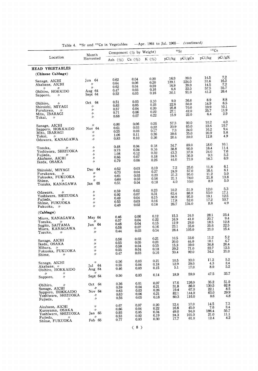|                                                                                                                              | Month                                                                        |                                                | Component (% by Weight)              |                                          |                                        | 90Sr                                    | 137Cs                                    |                                     |
|------------------------------------------------------------------------------------------------------------------------------|------------------------------------------------------------------------------|------------------------------------------------|--------------------------------------|------------------------------------------|----------------------------------------|-----------------------------------------|------------------------------------------|-------------------------------------|
| Location                                                                                                                     | Harvested                                                                    | Ash (%) Ca (%)                                 |                                      | K $(%)$                                  |                                        | pCi/kg pCi/gCa                          | pCi/kg                                   | pCi/gK                              |
| HEAD VEGETABLES                                                                                                              |                                                                              |                                                |                                      |                                          |                                        |                                         |                                          |                                     |
| (Chinese Cabbage)                                                                                                            |                                                                              |                                                |                                      |                                          |                                        |                                         |                                          |                                     |
| Sanage, AICHI<br>Akabane, AICHI<br>$^{\prime\prime}$<br>IJ                                                                   | Jun $64$<br>$^{\prime\prime}$<br>$^{\prime\prime}$                           | 0.62<br>0.64<br>0.62                           | 0.04<br>0.06<br>0.04                 | 0.20<br>0.20<br>0.20                     | 16.9<br>139.1<br>16.9                  | 39.0<br>224.0<br>39.0<br>22.0           | 14.5<br>31.6<br>14.5<br>57.5             | 7.2<br>16.2<br>7.2<br>35.7          |
| Obihiro, HOKKIDO<br>$^{\prime\prime}$<br>Sapporo,                                                                            | Aug 64<br>Sept 64                                                            | 0.47<br>0.52                                   | 0.03<br>0.03                         | 0.16<br>0.16                             | 6.8<br>30.1                            | 91.0                                    | 41.2                                     | 26.4                                |
| Obihiro,<br>$^{\prime\prime}$<br>Shiroishi, MIYAGI<br>Furukawa, $\nu$<br>Mito, IBARAGI<br>Tokai,<br>$\overline{\phantom{a}}$ | Oct $64$<br>$^{\prime\prime}$<br>$^{\prime\prime}$<br>$\prime$<br>$\prime$   | 0.51<br>0.63<br>0.57<br>0.71<br>0.68           | 0.03<br>0.05<br>0.04<br>0.06<br>0.07 | 0.10<br>0.23<br>0.20<br>0.22<br>0.22     | 9.0<br>22.6<br>25.8<br>27.1<br>15.9    | 36.0<br>50.0<br>70.0<br>42.0<br>22.0    | 8.9<br>14.9<br>19.9<br>25.7<br>6.4       | 8.8<br>6.5<br>10.1<br>11.9<br>2.9   |
| Sanage, AICHI<br>Sapporo, HOKKAIDO<br>Mito, IBARAGI<br>Tokai,<br>ŋ.<br>Odawara, KANAGAWA                                     | 11<br>Nov 64<br>$\prime$<br>$\prime$<br>$\prime$                             | 0.80<br>0.61<br>0.55<br>1.06<br>0.83           | 0.06<br>0.03<br>0.03<br>0.11<br>0.10 | 0.26<br>0.22<br>0.17<br>0.36<br>0.26     | 57.3<br>20.9<br>7.3<br>39.6<br>20.4    | 90.0<br>65.0<br>24.0<br>35.0<br>20.0    | 10.2<br>23.6<br>16.2<br>20.9<br>12.8     | 4.0<br>10.7<br>9.4<br>5.8<br>4.9    |
| Tozuka,<br>n<br>Yoshiwara, SHIZUOKA<br>Fujieda,<br>IJ<br>Akabane, AICHI<br>Ikeda, OSAKA                                      | $^{\prime\prime}$<br>$^{\prime\prime}$<br>$\prime$<br>$\prime$<br>$\prime$   | 0.48<br>0.73<br>1.08<br>0.66<br>0.79           | 0.04<br>0.04<br>0.12<br>0.07<br>0.06 | 0.18<br>0.16<br>0.32<br>0.18<br>0.26     | 34.7<br>38.8<br>43.3<br>24.5<br>44.0   | 89.0<br>90.0<br>37.0<br>36.0<br>73.0    | 18.0<br>18.4<br>24.0<br>9.3<br>18.3      | 10.1<br>11.4<br>7.6<br>5.3<br>6.9   |
| Shiroishi, MIYAGI<br>Furukawa,<br>- M<br>Fukuoka, FUKUOKA<br>Shime,<br>n<br>Tozuka, KANAGAWA                                 | Dec 64<br>$^{\prime\prime}$<br>$\prime\prime$<br>$^{\prime\prime}$<br>Jan 65 | 0.52<br>0.73<br>0.61<br>0.60<br>0.51           | 0.03<br>0.04<br>0.03<br>0.03<br>0.04 | 0.19<br>$0.27\,$<br>0.23<br>0.16<br>0.18 | $7.2\,$<br>24.9<br>31.3<br>21.1<br>4.0 | 25.0<br>57.0<br>95.0<br>78.0<br>10.0    | 11.8<br>16.4<br>11.2<br>21.8<br>8.9      | 6.1<br>6.1<br>5.0<br>13.8<br>5.0    |
| Odawara,<br>IJ<br>Yoshiwara, SHIZUOKA<br>Fujieda,<br>$\prime$<br>Shime, FUKUOKA<br>Fukuoka, /                                | $^{\prime\prime}$<br>$^{\prime\prime}$<br>$\prime$<br>$\prime$<br>$\prime$   | 0.59<br>0.92<br>0.49<br>0.53<br>0.49           | 0.02<br>0.07<br>0.04<br>0.03<br>0.02 | 0.23<br>0.31<br>0.15<br>0.16<br>0.18     | 10.2<br>63.4<br>36.9<br>17.8<br>26.7   | 51.0<br>88.0<br>95.0<br>52.0<br>134.0   | 12.0<br>53.0<br>19.1<br>17.2<br>8.8      | 5.3<br>17.1<br>12.5<br>10.7<br>4.9  |
| (Cabbage)                                                                                                                    |                                                                              |                                                |                                      |                                          |                                        |                                         |                                          |                                     |
| Miura, KANAGAWA<br>Tozuka,<br>$\eta$<br>Sugito, SAITAMA<br>Miura, KANAGAWA<br>Tozuka,<br>$\prime$                            | May 64<br>V,<br>Jun 64<br>$^{\prime\prime}$<br>$\prime$                      | 0.46<br>0.57<br>0.48<br>0.58<br>0.44           | 0.06<br>0.04<br>0.04<br>0.07<br>0.03 | 0.12<br>0.22<br>0.15<br>0.16<br>0.14     | 15.3<br>16.9<br>12.9<br>23.1<br>28.4   | 24.0<br>41.0<br>29.0<br>35.0<br>105.0   | 28.1<br>20.7<br>18.5<br>25.6<br>21.0     | 23.4<br>9.4<br>12.8<br>22.5<br>15.4 |
| Sanage, AICHI<br>Ikeda, OSAKA<br>Mihara, $\nu$<br>Fukuoka, FUKUOKA<br>$^{\prime\prime}$<br>Shime,                            | $^{\prime\prime}$<br>IJ<br>n<br>n<br>11                                      | 0.56<br>0.55<br>0.58<br>0.55<br>0.47           | 0.03<br>0.05<br>0.04<br>0.04<br>0.03 | 0.21<br>0.21<br>0.15<br>0.18<br>0.16     | 10.5<br>20.0<br>15.3<br>29.2<br>30.4   | 33.0<br>44.0<br>39.0<br>71.0<br>92.0    | 11.2<br>10.1<br>$30.8\,$<br>22.7<br>34.2 | 5.2<br>4.7<br>20.4<br>12.5<br>21.0  |
| Sanage, AICHI<br>Akabane, /<br>Obihiro, HOKKAIDO                                                                             | $^{\prime\prime}$<br>Jul 64<br>Aug 64                                        | 0.56<br>0.55<br>0.46                           | 0.03<br>0.04<br>0.03                 | 0.21<br>0.18<br>0.15                     | 10.5<br>12.9<br>5.1                    | 33.0<br>29.0<br>17.0                    | 11.2<br>4.3<br>8.0                       | 5.2<br>2.4<br>5.2                   |
| $^{\prime\prime}$<br>$^{\prime\prime}$<br>$\prime\prime$<br>Sapporo,                                                         | $^{\prime\prime}$<br>Sept 64                                                 | 0.50                                           | 0.03                                 | 0.14                                     | 18.9                                   | 59.0                                    | 47.5                                     | 33.7                                |
| Obihiro,<br>$^{\prime\prime}$<br>Sanage, AICHI<br>Sapporo, HOKKAIDO<br>Yoshiwara, SHIZUOKA<br>Fujieda,<br>11                 | Oct 64<br>$\prime$<br>Nov 64<br>$\prime\prime$<br>$^{\prime\prime}$          | 0.36<br>0.59<br>0.63<br>$0.63^{\circ}$<br>0.56 | 0.01<br>0.04<br>0.03<br>0.06<br>0.05 | 0.07<br>0.21<br>0.26<br>0.21<br>0.18     | 17.6<br>31.8<br>19.4<br>82.1<br>60.3   | 126.0<br>86.0<br>67.0<br>144.0<br>116.0 | 35.2<br>130.5<br>22.1<br>63.0<br>8.6     | 51.0<br>62.8<br>8.5<br>29.9<br>4.8  |
| Akabane, AICHI<br>Kuroyama, OSAKA<br>Yoshiwara, SHIZUOKA<br>Fujieda,<br>$^{\prime\prime}$<br>Shime, FUKUOKA                  | $^{\prime\prime}$<br>$\prime$<br>Jan 65<br>$^{\prime\prime}$<br>Feb 65       | 0.67<br>0.66<br>0.93<br>0.53<br>0.77           | 0.07<br>0.04<br>0.05<br>0.02<br>0.03 | 0.20<br>0.22<br>0.34<br>0.19<br>0.30     | 12.4<br>16.6<br>49.0<br>24.3<br>17.7   | 17.0<br>45.0<br>94.0<br>101.0<br>61.0   | 14.5<br>7.6<br>186.4<br>21.0<br>12.4     | 7.3<br>3.4<br>55.7<br>11.1<br>4.2   |

Table 4. <sup>90</sup>Sr and <sup>137</sup>Cs in Vegetables - Apr. 1964 to Jul. 1965- (continued)

 $(8)$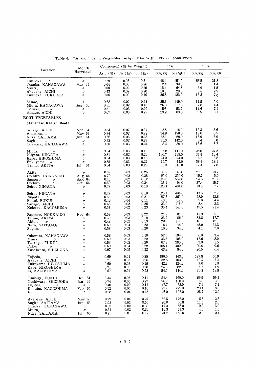|                                                                                                                                | Month                                                                                        |                                                | Component $(\%$ by Weight)                |                                                    |                                         | 90Sr                                      |                                      | 137Cs                                        |
|--------------------------------------------------------------------------------------------------------------------------------|----------------------------------------------------------------------------------------------|------------------------------------------------|-------------------------------------------|----------------------------------------------------|-----------------------------------------|-------------------------------------------|--------------------------------------|----------------------------------------------|
| Location                                                                                                                       | Harvested                                                                                    | Ash $(\%)$ Ca $(\%)$ K $(\%)$                  |                                           |                                                    |                                         | pCi/kg pCi/gCa                            | pCi/kg                               | pCi/gK                                       |
| Fukuoka,<br>$^{\prime\prime}$<br>Tozuka, KANAGAWA<br>Miura,<br>$\mathcal{U}=\mathcal{U}$<br>Akabane, AICHI<br>Fukuoka, FUKUOKA | $^{\prime\prime}$<br>May 65<br>$\mathcal{U}$<br>$^{\prime\prime}$<br>$\prime$                | 0.79<br>0.64<br>$0.50\,$<br>$\rm 0.43$<br>0.56 | 0.03<br>0.03<br>0.02<br>0.02<br>0.02      | 0.31<br>0.26<br>0.25<br>0.20<br>0.19               | 48.4<br>12.4<br>15.4<br>10.3<br>26.8    | 151.0<br>38.8<br>64.8<br>20.6<br>123.0    | 66.5<br>3.7<br>3.9<br>5.8<br>13.3    | 21.8<br>1.4<br>1.5<br>2.9<br>7.0             |
| Shime,<br>$\frac{1}{2}$<br>Miura, KANAGAWA<br>Tozuka,<br>$\mathcal{U}$<br>Sanage, AICHI                                        | $^{\prime\prime}$<br>Jun 65<br>$\prime\prime$<br>$\frac{1}{2}$                               | 0.68<br>0.51<br>0.51<br>0.67                   | 0.02<br>0.02<br>0.03<br>0.03              | 0.24<br>0.18<br>0.20<br>0.29                       | 25.1<br>76.0<br>15.5<br>23.2            | 149.0<br>317.0<br>53.2<br>83.8            | 11.5<br>7.8<br>14.6<br>9.5           | 5.0<br>4.4<br>7.1<br>3.1                     |
| ROOT VEGETABLES                                                                                                                |                                                                                              |                                                |                                           |                                                    |                                         |                                           |                                      |                                              |
| (Japanese Radish Root)                                                                                                         |                                                                                              |                                                |                                           |                                                    |                                         |                                           |                                      |                                              |
| Sanage, AICHI<br>Akabane, $\nu$<br>Niiza, SAITAMA<br>Sugito, $\nu$<br>Odawara, KANAGAWA                                        | Apr $64$<br>May 64<br>Jun 64<br>$\mathcal{U}$<br>$\prime$                                    | 0.84<br>0.74<br>0.66<br>0.72<br>0.60           | 0.07<br>0.02<br>0.03<br>0.02<br>0.03      | 0.34<br>0.29<br>$0.25\,$<br>0.28<br>0.24           | 12.5<br>34.8<br>22.1<br>$31.3\,$<br>8.4 | 18.0<br>158.0<br>69.0<br>142.0<br>30.0    | 12.3<br>18.6<br>16.9<br>8.4<br>13.6  | 3.6<br>6.5<br>6.9<br>$3.0\,$<br>5.7          |
| Miura,<br>$\mathcal{U}=\mathcal{U}$<br>Niigata, NIIGATA<br>Kaba, HIROSHIMA<br>Fukuyama, $\nu$<br>Tenno, AKITA                  | $\prime$<br>$\prime$<br>$\prime$<br>$^{\prime\prime}$<br>Jul 64                              | 0.54<br>0.81<br>0.54<br>0.85<br>0.64           | 0.03<br>0.02<br>0.03<br>0.03<br>0.03      | 0.10<br>0.26<br>0.16<br>0.22<br>0.25               | 27.8<br>190.7<br>24.3<br>20.7<br>35.3   | 111.0<br>795.0<br>74.0<br>74.0<br>118.0   | 28.0<br>34.4<br>6.2<br>38.9<br>17.4  | $27.2\,$<br>13.4<br>3.8<br>18.1<br>7.0       |
| Akita,<br>$\mathcal{U}$<br>Obihiro, HOKKAIDO<br>Sapporo,<br>$\mathcal{U}$<br>Obiĥiro,<br>$\prime\prime$<br>Seiro, NIIGATA      | A.<br>Aug $64$<br>Sept 64<br>Oct $64$<br>$^{\prime\prime}$                                   | 0.69<br>0.79<br>0.43<br>0.59<br>0.47           | 0.03<br>0.02<br>0.02<br>0.03<br>0.03      | $0.26\,$<br>0.28<br>$0.12\,$<br>$\rm 0.24$<br>0.18 | 38.5<br>60.0<br>128.6<br>26.4<br>125.1  | 148.0<br>250.0<br>559.0<br>94.0<br>404.0  | 27.5<br>15.7<br>24.6<br>37.4<br>13.5 | 10.7<br>5.6<br>21.2<br>15.7<br>7.7           |
| Seiro, NIIGATA<br>Niigata,<br>$\mathscr{U}$<br>Fukui, FUKUI<br>Sanage, AICHI<br>Kokubu, KAGOSHIMA                              | $^{\prime\prime}$<br>$^{\prime\prime}$<br>$^{\prime\prime}$<br>$^{\prime\prime}$<br>$\prime$ | 0.47<br>0.53<br>0.46<br>0.65<br>0.57           | 0.03<br>0.02<br>0.04<br>0.02<br>0.02      | 0.18<br>0.21<br>$0.11\,$<br>$0.26\,$<br>0.23       | 125.1<br>57.3<br>43.3<br>23.0<br>30.4   | 404.0<br>260.0<br>117.0<br>115.0<br>145.0 | 13.5<br>28.9<br>5.0<br>8.4<br>47.5   | 7.7<br>13.8<br>4.4<br>3.3<br>21.4            |
| Sapporo, HOKKAIDO<br>Tenno, AKITA<br>Akita,<br>$^{\prime\prime}$<br>Niiza, SAITAMA<br>Sugito,<br>$\frac{1}{2}$                 | Nov 64<br>$\prime$<br>$^{\prime\prime}$<br>$^{\prime\prime}$<br>$\prime$                     | 0.59<br>0.50<br>0.48<br>0.60<br>0.58           | 0.03<br>0.03<br>0.02<br>0.04<br>0.03      | $0.22\,$<br>0.19<br>0.13<br>0.22<br>0.20           | 21.9<br>23.2<br>28.0<br>16.7<br>10.6    | 81.0<br>86.0<br>117.0<br>45.0<br>34.0     | 11.3<br>32.8<br>16.1<br>45.9<br>4.1  | 5.1<br>17.7<br>12.1<br>21.3<br>2.0           |
| Odawara, KANAGAWA<br>Miura,<br>$\mathcal{U}$<br>Tsuruga, FUKUI<br>Fukui,                                                       | $\prime$<br>$^{\prime\prime}$<br>$\prime$<br>$\prime$<br>$\prime$                            | 0.58<br>0.60<br>0.53<br>0.60<br>0.97           | 0.03<br>0.03<br>0.02<br>0.04<br>0.05      | 0.18<br>0.22<br>0.20<br>0.22<br>0.32               | 52.5<br>33.5<br>67.8<br>168.1<br>43.9   | 194.0<br>105.0<br>295.0<br>400.0<br>84.0  | 6.0<br>17.6<br>3.0<br>20.8<br>20.5   | 3.4<br>8.0<br>1.5<br>9.6<br>.6.4             |
| Fujieda, $\frac{\gamma}{\gamma}$<br>Akabane, AICHI<br>Fukuvama, HIROSHIMA<br>Kabe, HIROSHIMA<br>Ei, KAGOSHIMA                  | IJ<br>$\prime\prime$<br>$\prime$<br>$^{\prime\prime}$<br>$\prime$                            | 0.69<br>0.71<br>0.69<br>0.71<br>0.67           | 0.04<br>0.03<br>$_{0.03}$<br>0.03<br>0.04 | 0.25<br>0.26<br>0.19<br>0.30<br>0.22               | 190.6<br>32.8<br>42.2<br>24.5<br>54.9   | 443.0<br>103.0<br>124.0<br>82.0<br>144.0  | 127.8<br>19.4<br>7.6<br>5.7<br>30.8  | 50.9<br>7.4<br>3.9<br>1.9<br>13.9            |
| Tsuruga, FUKUI<br>Yoshiwara, SHIZUOKA<br>Fujieda,<br>$^{\prime\prime}$<br>Kokubu, KAGOSHIMA<br>Ei,<br>$^{\prime\prime}$        | Dec 64<br>Jan 65<br>ŋ<br>Feb 65<br>$\prime$                                                  | 0.44<br>0.74<br>0.40<br>0.52<br>0.58           | 0.03<br>0.05<br>0.09<br>0.04<br>0.04      | 0.11<br>0.27<br>0.11<br>0.16<br>0.18               | 54.4<br>76.7<br>47.7<br>93.4<br>46.0    | 160.0<br>150.0<br>52.0<br>222.0<br>107.0  | 66.9<br>8.8<br>7.9<br>29.4<br>23.7   | 59.2<br>3.2<br>7.1<br>18.8<br>12.9           |
| Akabane, AICHI<br>Sugito, SAITAMA<br>Tozuka, KANAGAWA<br>Miura,<br>n<br>Niiza, SAITAMA                                         | May 65<br>Jun 65<br>$^{\prime\prime}$<br>$\prime\prime$<br>Jul 65                            | 0.79<br>1.03<br>0.67<br>0.61<br>0.28           | 0.04<br>0.03<br>0.02<br>0.02<br>0.01      | 0.27<br>0.56<br>0.33<br>$\rm 0.30$<br>0.12         | 62.5<br>20.0<br>17.3<br>10.3<br>21.2    | 176.0<br>66.8<br>86.0<br>51.3<br>182.0    | 6.8<br>11.5<br>9.9<br>4.6<br>2.9     | 2.5<br>$_{\rm 2.0}$<br>$3.0\,$<br>1.5<br>2.4 |

Table 4.  $\frac{90}{5}$ Sr and  $\frac{137}{5}$ Cs in Vegetables -Apr. 1964 to Jul. 1965-- (continued)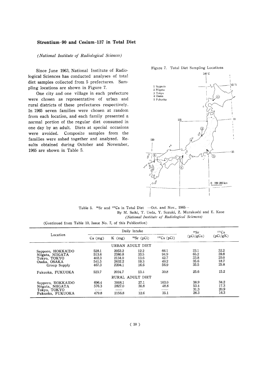#### Strontium-90 and Cesium-137 in Total Diet

(National Institute of Radiological Sciences)

Since June 1963, National Institute of Radiological Sciences has conducted analyses of total diet samples collected from 5 prefectures. Sampling locations are shown in Figure 7.

One city and one village in each prefecture were chosen as representative of urban and rural districts of these prefectures respectively. In 1965 seven families were chosen at random from each location, and each family presented a normal portion of the regular diet consumed in one day by an adult. Diets at special occasions were avoided. Composite samples from the families were ashed together and analyzed. Results obtained during October and November, 1965 are shown in Table 5.



Table 5.  $^{90}Sr$  and  $^{137}Cs$  in Total Diet -Oct. and Nov., 1965-By M. Saiki, T. Ueda, Y. Suzuki, Z. Murakoshi and E. Kase (National Institute of Radiological Sciences)

(Continued from Table 10, Issue No. 7, of this Publication)

|                                                                                       |                                           | Daily Intake                                   |                                      | 137 <sub>Cs</sub><br>90Sr            |                                      |                                      |  |
|---------------------------------------------------------------------------------------|-------------------------------------------|------------------------------------------------|--------------------------------------|--------------------------------------|--------------------------------------|--------------------------------------|--|
| Location                                                                              | $K$ (mg)<br>$Ca$ (mg)                     |                                                | $137Cs$ (pCi)<br>$^{90}Sr$ (pCi)     |                                      | (pCi/gCa)                            | (pCi/gK)                             |  |
|                                                                                       |                                           |                                                | URBAN ADULT DIET                     |                                      |                                      |                                      |  |
| Sapporo, HOKKAIDO<br>Niigata, NIIGATA<br>Tokyo, TOKYO<br>Osaka, OSAKA<br>Group Supply | 528.1<br>513.6<br>402.3<br>541.5<br>467.3 | 2053.2<br>2380.8<br>2134.0<br>2632.2<br>2204.1 | 12.2<br>33.5<br>13.6<br>19.3<br>16.6 | 66.1<br>94.9<br>42.7<br>49.2<br>56.9 | 23.1<br>65.2<br>33.8<br>35.6<br>35.5 | 32.2<br>39.8<br>20.0<br>18.7<br>25.8 |  |
| Fukuoka, FUKUOKA                                                                      | 523.7                                     | 2024.7                                         | 13.4                                 | 30.8                                 | 25.6                                 | 15.2                                 |  |
|                                                                                       |                                           |                                                | RURAL ADULT DIET                     |                                      |                                      |                                      |  |
| Sapporo, HOKKAIDO<br>Niigata, NIIGATA<br>Tokyo, TOKYO<br>Fukuoka, FUKUOKA             | 696.4<br>576.3<br>479.8                   | 3008.1<br>2827.0<br>2156.8                     | 27.1<br>30.8<br>للمنطو<br>12.6       | 103.0<br>48.8<br>35.1                | 38.9<br>53.4<br>31.3<br>26.3         | 34.2<br>17.3<br>20.9<br>16.3         |  |

Figure 7. Total Diet Sampling Locations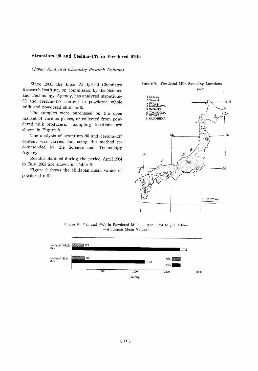#### Strontium-90 and Cesium-137 in Powdered Milk

(Japan Analytical Chemistry Research Institute)

Since 1960, the Japan Analytical Chemistry Research Institute, on commission by the Science and Technology Agency, has analyzed strontium-90 and cesium-137 content in powdered whole milk and powdered skim milk.

The samples were purchased on the open market of various places, or collected from powdered milk producers. Sampling locations are shown in Figure 8.

The analysis of strontium-90 and cesium-137 content was carried out using the method recommended by the Science and Technology Agency.

Results obtained during the period April 1964 to July 1965 are shown in Table 6.

Figure 9 shows the all Japan mean values of powdered milk.



Figure 9.  $^{90}$ Sr and  $^{137}$ Cs in Powdered Milk -Apr. 1964 to Jul. 1965--All Japan Mean Values-



Figure 8. Powdered Milk Sampling Locations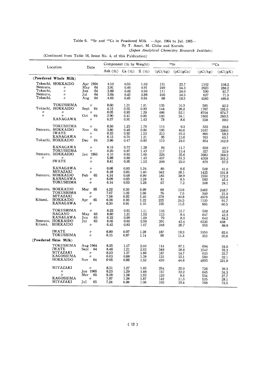#### Table 6.  $\degree$ °Sr and <sup>137</sup>Cs in Powdered Milk -Apr. 1964 to Jul. 1965-By T. Asari, M. Chiba and Kuroda (Japan Analytical Chemistry Research Institute)

(Continued from Table 16, Issue No. 4, of this Publication)

|                                            | Location                                                                       | Date                                                         | Component $(\%$ by Weight)           |                                      |                                      | 90Sr                            |                                      | 137Cs                              |                                         |
|--------------------------------------------|--------------------------------------------------------------------------------|--------------------------------------------------------------|--------------------------------------|--------------------------------------|--------------------------------------|---------------------------------|--------------------------------------|------------------------------------|-----------------------------------------|
|                                            |                                                                                |                                                              | Ash $(\%)$                           | Ca (%)                               | $K(\%)$                              | (pCi/kg)                        | (pCi/gCa)                            | (pCi/kg)                           | (pCi/gK)                                |
|                                            | (Powdered Whole Milk)                                                          |                                                              |                                      |                                      |                                      |                                 |                                      |                                    |                                         |
| Nemuro,<br>Tokachi.<br>Nemuro,<br>Tokachi, | Tokachi, HOKKAIDO<br>11<br>$\prime$<br>$\prime$<br>$\prime$                    | Apr 1964<br>May<br>64<br>64<br>Jun<br>64<br>Jul<br>64<br>Aug | 4.10<br>3.91<br>3.89<br>3.64<br>4.05 | 0.55<br>0.46<br>0.46<br>0.45<br>0.45 | 1.02<br>0.91<br>0.96<br>0.88<br>0.94 | 131<br>249<br>111<br>246<br>88  | 23.7<br>54.3<br>24.0<br>54.5<br>19.5 | 1102<br>2623<br>590<br>627<br>4583 | 108.2<br>288.2<br>61.7<br>71.0<br>489.6 |
| 〃<br>$\prime$                              | <b>TOKUSHIMA</b><br>Tokachi, HOKKAIDO<br>11<br>11<br>KANAGAWA                  | ,,<br>Sept<br>64<br>Oct<br>64<br>11                          | 8.60<br>4.15<br>6.05<br>3.90<br>6.27 | 1.31<br>0.55<br>0.93<br>0.41<br>0.91 | 1.81<br>0.93<br>1.29<br>0.80<br>1.43 | 135<br>144<br>486<br>140<br>78  | 10.3<br>26.2<br>52.1<br>34.1<br>8.6  | 581<br>1767<br>8704<br>1602<br>558 | 42.2<br>191.0<br>674.7<br>200.3<br>39.0 |
|                                            | TOKUSHIMA<br>Nemuro, HOKKAIDO<br><b>IWATE</b><br>KANAGAWA<br>Tokachi, HOKKAIDO | IJ<br>64<br>Nov<br>$\prime$<br>Dec<br>64                     | 8.50<br>3.80<br>6.33<br>6.15<br>3.96 | 1.23<br>0.48<br>0.92<br>0.70<br>0.47 | 1.79<br>0.80<br>1.53<br>1.21<br>0.83 | 114<br>195<br>213<br>95<br>112  | 9.3<br>40.6<br>23.2<br>13.6<br>24.0  | 533<br>3167<br>890<br>763<br>854   | 29.8<br>398.0<br>58.2<br>63.1<br>102.9  |
| $^{\prime\prime}$                          | KANAGAWA<br>TOKUSHIMA<br>Nemuro, HOKKAIDO<br>n<br><b>IWATE</b>                 | $\prime$<br>11<br>Jan 1965<br>"<br>$\prime$                  | 6.15<br>6.20<br>4.10<br>5.98<br>6.41 | 0.72<br>0.87<br>0.63<br>0.89<br>0.95 | 1.28<br>1.43<br>1.00<br>1.43<br>1.53 | 84<br>117<br>224<br>457<br>209  | 11.7<br>13.4<br>35.6<br>51.3<br>22.0 | 639<br>327<br>3683<br>4308<br>879  | 49.7<br>22.9<br>368.3<br>301.3<br>57.5  |
|                                            | KANAGAWA<br>MIYAZAKI<br>Nemuro, HOKKAIDO<br>KANAGAWA<br>TOKUSHIMA              | $^{\prime\prime}$<br>11<br>65<br>Feb<br>$\prime$<br>"        | 6.06<br>6.18<br>4.14<br>6.09<br>6.14 | 0.93<br>0.95<br>0.48<br>0.95<br>0.93 | 1.24<br>1.40<br>0.90<br>1.28<br>1.28 | 80<br>342<br>185<br>81<br>67    | 8.6<br>36.1<br>38.9<br>8.5<br>7.2    | 509<br>1425<br>1550<br>583<br>308  | 41.0<br>101.8<br>172.2<br>45.4<br>24.1  |
| Kitami,                                    | Nemuro, HOKKAIDO<br>TOKUSHIMA<br>MIYAZAKI<br>HOKKAIDO                          | Mar<br>65<br>$\prime$<br>11<br>65<br>Apr                     | 4.22<br>7.07<br>7.56<br>6.38         | 0.50<br>1.02<br>0.93<br>0.93         | 0.99<br>1.66<br>1.40                 | 68<br>76<br>379                 | 13.6<br>7.5<br>40.8                  | 2462<br>349<br>4979                | 248.7<br>21.0<br>355.6                  |
|                                            | KANAGAWA<br><b>TOKUSHIMA</b>                                                   | 11<br>"                                                      | 6.30<br>6.22                         | 0.91<br>0.91                         | 1.22<br>1.10<br>1.11                 | 225<br>105<br>116               | 24.5<br>11.5<br>12.7                 | 1120<br>665<br>509                 | 91.7<br>60.5<br>45.8                    |
| Kitami,                                    | <b>NAGANO</b><br><b>KANAGAWA</b><br>Nemuro, HOKKAIDO<br>HOKKAIDO               | May<br>65<br>Jun<br>65<br>Jul<br>65<br>$\prime$              | 8.60<br>6.22<br>6.05<br>6.45         | 1.21<br>0.99<br>0.90<br>0.93         | 1.53<br>1.00<br>0.99<br>1.07         | 113<br>79<br>391<br>248         | 9.4<br>8.0<br>43.4<br>26.7           | 647<br>642<br>6320<br>950          | 42.3<br>64.2<br>638<br>88.8             |
|                                            | <b>IWATE</b><br>TOKUSHIMA                                                      | 11<br>$\prime$                                               | 6.80<br>6.15                         | 0.97<br>0.87                         | 1.28<br>1.14                         | 187<br>99                       | 19.3<br>11.4                         | 1050<br>352                        | 82.0<br>30.8                            |
|                                            | (Powdered Skim Milk)                                                           |                                                              |                                      |                                      |                                      |                                 |                                      |                                    |                                         |
|                                            | <b>TOKUSHIMA</b><br><b>IWATE</b><br>MIYAZAKI<br>KAGOSHIMA<br>HOKKAIDO          | Aug 1964<br>Sept<br>64<br>11<br>11<br>Nov<br>64              | 8.25<br>8.46<br>8.23<br>6.03<br>6.05 | 1.17<br>1.21<br>1.27<br>0.88<br>0.96 | 2.00<br>2.02<br>1.88<br>1.38<br>1.52 | 114<br>349<br>187<br>133<br>430 | 97.1<br>28.8<br>14.7<br>15.1<br>44.8 | 694<br>1542<br>633<br>580<br>4893  | 34.6<br>76.3<br>33.7<br>32.1<br>321.9   |
|                                            | MIYAZAKI<br>11<br>n<br><b>KAGOSHIMA</b><br>MIYAZAKI                            | $\prime$<br>Jan 1965<br>Mar<br>65<br>$\prime$<br>65<br>JuI   | 8.31<br>8.23<br>8.28<br>7.97<br>7.24 | 1.27<br>1.29<br>1.28<br>1.26<br>0.98 | 1.85<br>1.88<br>1.93<br>1.87<br>1.06 | 254<br>157<br>120<br>142<br>190 | 20.0<br>12.2<br>9.4<br>11.3<br>19.4  | 726<br>645<br>534<br>525<br>768    | 39.3<br>34.3<br>27.7<br>28.1<br>72.5    |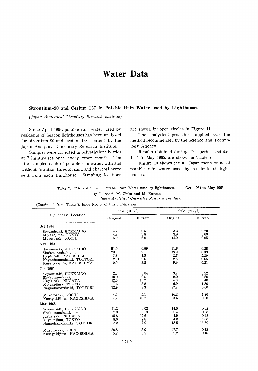### **Water Data**

#### Strontium-90 and Cesium-137 in Potable Rain Water used by Lighthouses

(Japan Analytical Chemistry Research Institute)

Since April 1964, potable rain water used by residents of beacon lighthouses has been analyzed for strontium-90 and cesium-137 content by the Japan Analytical Chemistry Research Institute.

Samples were collected in polyethylene bottles at 7 lighthouses once every other month. Ten liter samples each of potable rain water, with and without filtration through sand and charcoal, were sent from each lighthouse. Sampling locations are shown by open circles in Figure 11.

The analytical procedure applied was the method recommended by the Science and Technology Agency.

Results obtained during the period October 1964 to May 1965, are shown in Table 7.

Figure 10 shows the all Japan mean value of potable rain water used by residents of lighthouses.

 $-$ Oct. 1964 to May 1965 $-$ Table 7. <sup>90</sup>Sr and <sup>137</sup>Cs in Potable Rain Water used by lighthouses. By T. Asari, M. Chiba and M. Kuroda

(Japan Analytical Chemistry Research Institute)

(Continued from Table 8, Issue No. 6, of this Publication)

|                                                                                                                           |                                      | <sup>90</sup> Sr $(pCi/l)$         | $137Cs$ (pCi/l)                   |                                       |  |
|---------------------------------------------------------------------------------------------------------------------------|--------------------------------------|------------------------------------|-----------------------------------|---------------------------------------|--|
| Lighthouse Location                                                                                                       |                                      | Original Filtrate                  | Original                          | Filtrate                              |  |
| Oct 1964                                                                                                                  |                                      |                                    |                                   |                                       |  |
| Soyamisaki, HOKKAIDO<br>Miyakejima, TOKYO<br>Murotozaki, KOCHI                                                            | 4.2<br>4.8<br>16.9                   | 0.51<br>3.8<br>6.0                 | 3.3<br>3.8<br>44.9                | 0.20<br>0.60<br>0.05                  |  |
| Nov 1964                                                                                                                  |                                      |                                    |                                   |                                       |  |
| Soyamisaki, HOKKAIDO<br>Shakotanmisaki, v<br>Hajikizaki, KAGOSHIMA<br>Nagaohanamisaki, TOTTORI<br>Kusagakijima, KAGOSHIMA | 51.0<br>29.8<br>7.8<br>2.31<br>10.9  | 0.09<br>2.1<br>9.5<br>2.6<br>2.8   | 11.6<br>19.9<br>2.7<br>2.6<br>99  | 0.28<br>0.33<br>5.20<br>0.66<br>0.21  |  |
| Jan 1965                                                                                                                  |                                      |                                    |                                   |                                       |  |
| Soyamisaki, HOKKAIDO<br>Shakotanmisaki, $\nu$<br>Hajikizaki, NIIGATA<br>Mivakejima, TOKYO<br>Nagaohanamisaki, TOTTORI     | 2.7<br>10.0<br>12.5<br>7.6<br>32.9   | 0.04<br>0.5<br>13.7<br>3.8<br>8.3  | 3.7<br>8.0<br>4.3<br>6.9<br>27.7  | 0.22<br>0.50<br>0.40<br>1.80<br>0.60  |  |
| Murotozaki, KOCHI<br>Kusagakijima, KAGOSHIMA                                                                              | 14.2<br>4.7                          | 5.1<br>10.7                        | 24.2<br>3.4                       | 1.90<br>0.30                          |  |
| Mar 1965                                                                                                                  |                                      |                                    |                                   |                                       |  |
| Sovamisaki, HOKKAIDO<br>Shakotanmisaki, $\nu$<br>Hajikizaki, NIIGATA<br>Miyakejima, TOKYO<br>Nagaohanamisaki, TOTTORI     | 11.2<br>2.9<br>15.8<br>- 8.6<br>23.2 | 0.02<br>0.13<br>12.6<br>2.8<br>7.9 | 14.5<br>5.4<br>4.9<br>4.0<br>18.5 | 0.02<br>0.08<br>0.68<br>1.80<br>11.50 |  |
| Murotozaki, KOCHI<br>Kusagakijima, KAGOSHIMA                                                                              | 20.8<br>5.2                          | 5.0<br>5.5                         | 47.7<br>2.2                       | 0.13<br>0.16                          |  |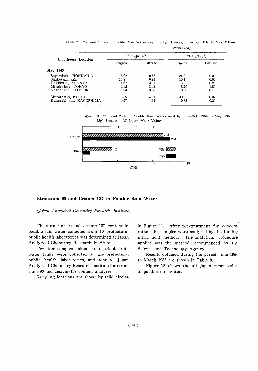|                                      |                                      | <sup>137</sup> Cs $(pCi/l)$          |                                      |
|--------------------------------------|--------------------------------------|--------------------------------------|--------------------------------------|
| Original                             | Filtrate                             | Original                             | Filtrate                             |
|                                      |                                      |                                      |                                      |
| 6.92<br>14.9<br>1.67<br>2.92<br>1.64 | 0.63<br>0.21<br>3.37<br>3.62<br>3.88 | 24.9<br>10.1<br>5.55<br>3.70<br>0.50 | 0.09<br>0.06<br>0.26<br>1.81<br>0.40 |
| 3.39<br>0.57                         | 4.51<br>1.94                         | 39.3<br>0.83                         | 0.02<br>0.20                         |
|                                      |                                      | $^{90}Sr$ (pCi/l)                    |                                      |

Table 7. <sup>90</sup>Sr and <sup>137</sup>Cs in Potable Rain Water used by lighthouses, -Oct. 1964 to May 1965-(continued)

Figure 10. <sup>90</sup>Sr and <sup>137</sup>Cs in Potable Rain Water used by  $-$ Oct. 1964 to May 1965 $-$ Lighthouses - All Japan Mean Values-



Strontium-90 and Cesium-137 in Potable Rain Water

(Japan Analytical Chemistry Research Institute)

The strontium-90 and cesium-137 content in potable rain water collected from 10 prefectural public health laboratories was determined at Japan Analytical Chemistry Research Institute.

Ten liter samples taken from potable rain water tanks were collected by the prefectural public health laboratories, and sent to Japan Analytical Chemistry Research Institute for strontium-90 and cesium-137 content analyses.

Sampling locations are shown by solid circles

in Figure 11. After pre-treatment for concent ration, the samples were analyzed by the fuming nitric acid method. The analytical procedure applied was the method recommended by the Science and Technology Agency.

Results obtained during the period June 1964 to March 1965 are shown in Table 8.

Figure 12 shows the all Japan mean value of potable rain water.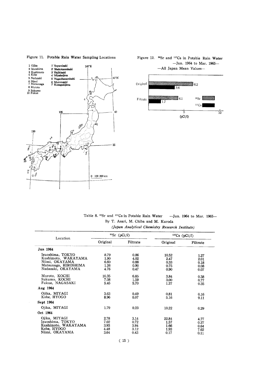

 $\bar{z}$ 

#### Figure 11. Potable Rain Water Sampling Locations

Figure 12. <sup>90</sup>Sr and <sup>137</sup>Cs in Potable Rain Water -Jun. 1964 to Mar. 1965-



|  | Table 8. <sup>90</sup> Sr and <sup>137</sup> Cs in Potable Rain Water |  |  |                                     | -Jun. 1964 to Mar. 1965- |  |
|--|-----------------------------------------------------------------------|--|--|-------------------------------------|--------------------------|--|
|  |                                                                       |  |  | By T. Asari, M. Chiba and M. Kuroda |                          |  |

|  | (Japan Analytical Chemistry Research Institute) |  |  |  |
|--|-------------------------------------------------|--|--|--|
|--|-------------------------------------------------|--|--|--|

| Location                                                                                               |                                      | $^{90}Sr$ (pCi/l)                    | $137Cs$ (pCi/l)                       |                                      |  |
|--------------------------------------------------------------------------------------------------------|--------------------------------------|--------------------------------------|---------------------------------------|--------------------------------------|--|
|                                                                                                        | Original                             | Filtrate                             | Original                              | Filtrate                             |  |
| Jun 1964                                                                                               |                                      |                                      |                                       |                                      |  |
| Izuoshima, TOKYO<br>Kushimoto, WAKAYAMA<br>Niimi, OKAYAMA<br>Matsunaga, HIROSHIMA<br>Nadazaki, OKAYAMA | 8.79<br>1.90<br>6.60<br>1.26<br>4.76 | 0.86<br>4.02<br>0.88<br>0.90<br>0.47 | 10.52<br>2.47<br>0.33<br>0.75<br>0.90 | 1.27<br>2.01<br>0.18<br>0.08<br>0.07 |  |
| Muroto, KOCHI<br>Sukumo, KOCHI<br>Fukue, NAGASAKI                                                      | 10.35<br>7.08<br>5.45                | 6.85<br>1.59<br>5.70                 | 3.84<br>3.00<br>1.27                  | 0.38<br>0.77<br>0.35                 |  |
| Aug 1964                                                                                               |                                      |                                      |                                       |                                      |  |
| Ojika, MIYAGI<br>Kobe, HYOGO<br>Sept 1964                                                              | 3.63<br>8.96                         | 0.49<br>6.07                         | 0.81<br>5.16                          | 0.16<br>9.11                         |  |
| Ojika, MIYAGI                                                                                          | 1.79                                 | 0.23                                 | 10.22                                 | 0.29                                 |  |
| Oct 1964                                                                                               |                                      |                                      |                                       |                                      |  |
| Oiika, MIYAGI<br>Izuoshima, TOKYO<br>Kushimoto, WAKAYAMA<br>Kobe, HYOGO<br>Niimi, OKAYAMA              | 2.78<br>7.02<br>3.93<br>4.48<br>3.64 | 3.14<br>0.72<br>3.94<br>3.12<br>0.43 | 22.84<br>1.57<br>1.66<br>1.93<br>0.17 | 4.77<br>0.27<br>0.64<br>7.62<br>0.11 |  |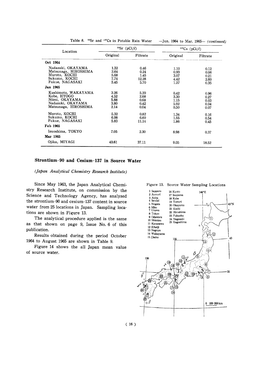| Location                                                                                          |                                      | $90$ Sr (pCi/l)                       | $137Cs$ (pCi/l)                          |                                      |  |
|---------------------------------------------------------------------------------------------------|--------------------------------------|---------------------------------------|------------------------------------------|--------------------------------------|--|
|                                                                                                   | Original<br>Filtrate                 |                                       | Original                                 | Filtrate                             |  |
| Oct 1964                                                                                          |                                      |                                       |                                          |                                      |  |
| Nadazaki, OKAYAMA<br>Matsunaga, HIROSHIMA<br>Muroto, KOCHI<br>Sukumo, KOCHI<br>Fukue, NAGASAKI    | 1.32<br>2.64<br>5.68<br>7.74<br>5.45 | 0.46<br>0.24<br>1.45<br>12.28<br>5.70 | 1.10<br>0.93<br>3.07<br>4.42<br>1.27     | 0.12<br>0.06<br>0.21<br>2.60<br>0.35 |  |
| Jan 1965                                                                                          |                                      |                                       |                                          |                                      |  |
| Kushimoto, WAKAYAMA<br>Kobe, HYOGO<br>Niimi, OKAYAMA<br>Nadazaki, OKAYAMA<br>Matsunaga, HIROSHIMA | 3.26<br>4.52<br>5.88<br>3.80<br>2.14 | 5.20<br>2.68<br>0.68<br>0.42<br>0.04  | $0.42\,$<br>3.30<br>1.15<br>5.92<br>0.50 | 0.96<br>0.27<br>0.03<br>0.04<br>0.07 |  |
| Muroto, KOCHI<br>Sukumo, KOCHI<br>Fukue, NAGASAKI                                                 | 5.32<br>6.98<br>5.83                 | 0.82<br>6.60<br>11.14                 | 1.34<br>1.55<br>1.86                     | 0.16<br>0.54<br>0.45                 |  |
| Feb 1965                                                                                          |                                      |                                       |                                          |                                      |  |
| Izuoshima, TOKYO<br>Mar 1965                                                                      | 7.05                                 | 2.30                                  | 8.98                                     | 0.37                                 |  |
| Ojika, MIYAGI                                                                                     | 43.61                                | 37.11                                 | 9.05                                     | 18.52                                |  |

Table 8. <sup>90</sup>Sr and <sup>137</sup>Cs in Potable Rain Water

-Jun. 1964 to Mar. 1965- $(continued)$ 

#### Strontium-90 and Cesium-137 in Source Water

(Japan Analytical Chemistry Research Institute)

Since May 1963, the Japan Analytical Chemistry Research Institute, on commission by the Science and Technology Agency, has analyzed the strontium-90 and cesium-137 content in source water from 25 locations in Japan. Sampling locations are shown in Figure 13.

The analytical procedure applied is the same as that shown on page 9, Issue No. 6 of this publication.

Results obtained during the period October 1964 to August 1965 are shown in Table 9.

Figure 14 shows the all Japan mean value of source water.

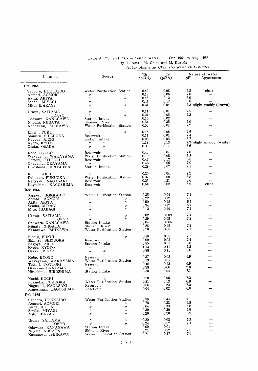| Location                                   | Source                                      |                   | 90Sr<br>(pCi/l)  | 137Cs<br>(pCi/l) | рH         | Nature of Water<br>Appearance |
|--------------------------------------------|---------------------------------------------|-------------------|------------------|------------------|------------|-------------------------------|
| Oct 1964                                   |                                             |                   |                  |                  |            |                               |
| Sapporo, HOKKAIDO                          | Water Purification Station                  |                   | 0.42             | 0.08             | 7.2        | clear                         |
| Aomori, AOMORI                             | 11                                          | 11                | 0.18             | 0.06             | 7.0        |                               |
| Akita, AKITA                               | ヶ                                           | $^{\prime\prime}$ | 0.48             | 0.12             | 6.9        |                               |
| Sendai, MIYAGI                             | $^{\prime\prime}$                           | $^{\prime\prime}$ | 0.41             | 0.17             | 6.8        | 7.2 slight muddy (brawn)      |
| Mito, IBARAGI                              | $^{\prime\prime}$                           | $^{\prime\prime}$ | 0.24             | 0.04             |            |                               |
| Urawa, SAITAMA                             | $^{\prime\prime}$                           | 11                | 0.11             | 0.01             | 7.5        |                               |
| токуо                                      | $^{\prime\prime}$                           | $^{\prime\prime}$ | 0.21<br>0.16     | 0.05<br>0.02     | 7.2        |                               |
| Odawara, KANAGAWA<br>Niigata, NIIGATA      | Station Intake<br>Shinano River             |                   | 0.54             | 0.35             | 7.0        |                               |
| Kanazawa, ISHIKAWA                         | Water Purification Station                  |                   | 0.53             | 0.01             | 7.2        |                               |
| Eiheiji, FUKUI                             | $^{\prime\prime}$                           | $^{\prime\prime}$ | 0.18             | 0.05             | 7.6        |                               |
| Shimizu, SHIZUOKA                          | Reservoir                                   |                   | 0.11             | 0.01             | 7.4        |                               |
| Nagoya, AICHI                              | Station Intake                              |                   | 0.26             | 0.05             | 6.7        |                               |
| Kyoto, KYOTO                               | $^{\prime\prime}$<br>〃                      |                   | 1.19             | 0.13             |            | 7.3 slight muddy (white)      |
| Osaka, OSAKA                               | $\prime$<br>$^{\prime\prime}$               |                   | 0.93             | 0.11             | 6.6        |                               |
| Kobe, HYOGO                                | Reservoir                                   |                   | 0.43             | 0.04             | 7.0        |                               |
| Wakayama, WAKAYAMA                         | Water Purification Station                  |                   | 0.10             | 0.05             | 6.8        |                               |
| Tottori, TOTTORI                           | Reservoir                                   |                   | 0.47<br>0.46     | 0.12<br>0.06     | 6.8<br>7.0 |                               |
| Okayama, OKAYAMA<br>Hiroshima, HIROSHIMA   | $^{\prime\prime}$<br>Station Intake         |                   | 0.28             | 0.07             | 7.1        |                               |
|                                            |                                             |                   |                  |                  |            |                               |
| Kochi, KOCHI                               | $^{\prime\prime}$                           |                   | 0.30             | 0.04             | 7.2        |                               |
| Fukuoka, FUKUOKA                           | Water Purification Station                  |                   | 0.37             | 0.08<br>0.21     | 6.8<br>8.6 | $\overline{\phantom{0}}$      |
| Nagasaki, NAGASAKI<br>Kagoshima, KAGOSHIMA | Reservoir<br>Reservoir                      |                   | $0.25\,$<br>0.64 | 0.02             | 6.9        | clear                         |
| Dec 1964                                   |                                             |                   |                  |                  |            |                               |
|                                            | Water Purification Station                  |                   | 0.35             | 0.04             | 7.1        |                               |
| Sapporo, HOKKAIDO<br>Aomori, AOMORI        | 11                                          | 11                | 0.22             | 0.12             | 7.0        |                               |
| Akita, AKITA                               | $^{\prime\prime}$                           | 11                | 0.50             | 0.18             | 6.7        |                               |
| Sendai, MIYAGI                             | $^{\prime\prime}$                           | 11                | 0.34             | 0.17             | 6.7        |                               |
| Mito, IBARAGI                              | 11                                          | $\prime$          | 0.12             | 0.10             | 7.2        |                               |
| Urawa, SAITAMA                             | $^{\prime\prime}$                           | $\prime$          | 0.02             | 0.009            | 7.4        |                               |
| TOKYO                                      | $\prime$                                    | 11                | 0.39             | 0.05             | 7.2        |                               |
| Odawara, KANAGAWA                          | Station Intake                              |                   | 0.04<br>0.88     | 0.005<br>0.49    | 7.2        |                               |
| Niigata, NIIGATA<br>Kanazawa, ISHIKAWA     | Shinano River<br>Water Purification Station |                   | 0.70             | 0.08             | 7.1        |                               |
|                                            |                                             |                   |                  |                  |            |                               |
| Eiheiji, FUKUI                             | $\prime$                                    | $^{\prime\prime}$ | 0.18<br>0.09     | 0.08<br>0.02     | 7.1<br>7.4 |                               |
| Shimizu, SHIZUOKA                          | Reservoir<br>Station Intake                 |                   | 0.85             | 0.05             | 6.8        |                               |
| Nagoya, AICHI<br>Kyoto, KYOTO              | $^{\prime\prime}$<br>11                     |                   | 1.13             | 0.11             | 7.2        |                               |
| Osaka, OSAKA                               | $\prime$<br>$^{\prime\prime}$               |                   | 0.98             | 0.11             | 6.6        |                               |
| Kobe, HYOGO                                | Reservoir                                   |                   | 0.37             | 0.08             | 6.9        |                               |
| Wakayama, WAKAYAMA                         | Water Purification Station                  |                   | 0.13             | 0.05             |            |                               |
| Tottori, TOTTORI                           | Reservoir                                   |                   | 0.48             | 0.12             | 6.9        |                               |
| Okayama OKAYAMA                            | "                                           |                   | 0.38<br>0.30     | 0.06<br>0.04     | 7.0<br>7.1 |                               |
| Hiroshima, HIROSHIMA                       | Station Intake                              |                   |                  |                  |            |                               |
| Kochi, KOCHI                               | $^{\prime\prime}$<br>$\prime$               |                   | 0.20             | 0.06             | 7.2        |                               |
| Fukuoka, FUKUOKA                           | Water Purification Station                  |                   | 0.21             | 0.13<br>0.23     | 6.8<br>7.2 |                               |
| Nagasaki, NAGASAKI<br>Kagoshima, KAGOSHIMA | Reservoir<br>Reservoir                      |                   | 0.56<br>0.04     | 0.02             | 6.6        |                               |
| Feb 1965                                   |                                             |                   |                  |                  |            |                               |
|                                            |                                             |                   | 0.36             | 0.45             | 7.1        |                               |
| Sapporo, HOKKAIDO                          | Weter Purification Station<br>11            | 11                | 0.78             | 0.23             | 6.8        |                               |
| Aomori, AOMORI<br>Akita, AKITA             | $^{\prime\prime}$                           | n                 | 0.64             | 0.33             | 6.8        |                               |
| Sendai, MIYAGI                             | $^{\prime\prime}$                           | 11                | 0.39             | 0.20             | 6.9        |                               |
| Mito, IBARAGI                              | $^{\prime\prime}$                           | n                 | 0.26             | 0.28             | 6.9        |                               |
| Urawa, SAITAMA                             | $^{\prime\prime}$                           | 11                | 0.20             | 0.03             | 7.3        |                               |
| TOKYO                                      | $\prime$                                    | n                 | 0.24             | 0.57             | 7.1        |                               |
| Odawara, KANAGAWA                          | Station Intake                              |                   | 0.09<br>0.71     | 0.01<br>0.22     | 7.0        |                               |
| Niigata, NIIGATA<br>Kanazawa, ISHIKAWA     | Shinano River<br>Water Purification Station |                   | 0.71             | 0.17             | 7.0        |                               |
|                                            |                                             |                   |                  |                  |            |                               |

#### Table 9.  $^{90}$ Sr and  $^{137}$ Cs in Source Water --Oct. 1964 to Aug. 1965--By T. Asari, M. Chiba and M. Kuroda (Japan Analytical Chemistry Research Institute)

 $\overline{\phantom{a}}$ 

 $\sim$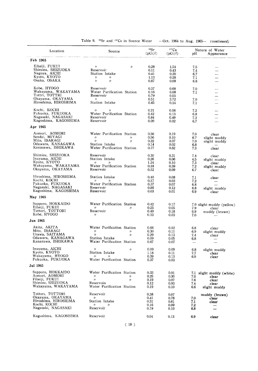| Location                           | Source                                 | 90Sr<br>(pCi/l) | $137C_S$<br>(pCi/l) | pH         | Nature of Water<br>Appearance |
|------------------------------------|----------------------------------------|-----------------|---------------------|------------|-------------------------------|
| Feb 1965                           |                                        |                 |                     |            |                               |
|                                    |                                        |                 |                     |            |                               |
| Eiheiji, FUKUI                     | $^{\prime\prime}$<br>$\prime\prime$    | 0.28            | 1.54                | 7.5        | —                             |
| Shimizu, SHIZUOKA<br>Nagoya, AICHI | Reservoir                              | 0.11            | 0.43                | 7.4        | $\overline{\phantom{0}}$      |
| Kyoto, KYOTO                       | Station Intake                         | 0.41            | 0.20                | 6.7        | —                             |
| Osaka, OSAKA                       | $^{\prime\prime}$<br>11<br>$\prime$    | 1.13            | 0.28                | 7.1        |                               |
|                                    | $\prime$                               | 0.87            | 0.09                | 6.8        | $\overline{\phantom{0}}$      |
| Kobe, HYOGO                        | Reservoir                              | 0.37            | 0.68                | 7.0        | ---                           |
| Wakayama, WAKAYAMA                 | Water Purification Station             | 0.16            | 0.08                | 7.1        | -                             |
| Tottri, TOTTRI                     | Reservoir                              | 0.79            | 0.55                |            | —                             |
| Okayama, OKAYAMA                   | n.                                     | 0.51            | 3.72                | 7.0        | $\overline{\phantom{0}}$      |
| Hiroshima, HIROSHIMA               | Station Intake                         | 0.45            | 0.14                | 7.1        | $\overline{\phantom{0}}$      |
| Kochi, KOCHI                       | $\prime\prime$<br>$^{\prime\prime}$    | 0.21            | 0.08                | 7.2        |                               |
| Fukuoka, FUKUOKA                   | Water Purification Station             | 0.42            | 0.13                | 6.8        |                               |
| Nagasaki, NAGASAKI                 | Reservoir                              | 0.84            | 0.49                | 7.2        |                               |
| Kagoshima, KAGOSHIMA               | Reservoir                              | 0.09            | 0.02                | 6.7        |                               |
| Apr 1965                           |                                        |                 |                     |            |                               |
|                                    |                                        |                 |                     |            |                               |
| Aomori, AOMORI                     | Water Purification Station             | 0.56            | 0.19                | 7.0        | clear                         |
| Sendai, MIYAGI                     | $^{\prime\prime}$<br>$^{\prime\prime}$ | 0.56            | 0.10                | 6.7        | slight muddy                  |
| Mito, IBARAGI                      | $\prime$<br>$\prime$                   | 0.22            | 0.07                | 7.0        | slight muddy                  |
| Odawara, KANAGAWA                  | Station Intake                         | 0.14            | 0.02                | 6.8        |                               |
| Kanazawa, ISHIKAWA                 | Water Purification Station             | 0.77            | 0.62                | 7.3        | clear                         |
| Shimizu, SHIZUOKA                  | Reservoir                              | 0.30            | 0.31                | 7.4        | clear                         |
| Inuyama, AICHI                     | Station Intake                         | 0.26            | 0.06                | 4.5        | slight muddy                  |
| Kyoto, KYOTO                       | $^{\prime\prime}$<br>$^{\prime\prime}$ | 1.24            | 0.10                | 7.3        | clear                         |
| Wakayama, WAKAYAMA                 | Water Purification Station             | 0.18            | 0.39                | 7.2        | slight muddy                  |
| Okayama, OKAYAMA                   | Reservoir                              | 0.12            | 0.09                | 6.7        | clear                         |
| Hiroshima, HIROSHIMA               | Station Intake                         | 0.40            | 0.08                | 7.1        | clear                         |
| Kochi, KOCHI                       | $^{\prime\prime}$<br>$^{\prime\prime}$ | 0.17            | 0.02                | 7.2        |                               |
| Fukuoka, FUKUOKA                   | Water Purification Station             | 0.37            | 0.07                | 6.8        |                               |
| Nagasaki, NAGASAKI                 | Reservoir                              | 0.86            | 0.12                | 8.8        | slight muddy                  |
| Kagoshima, KAGOSHIMA               | Reservoir                              | 0.03            | 0.01                | 6.9        | clear                         |
| May 1965                           |                                        |                 |                     |            |                               |
| Sapporo, HOKKAIDO                  | Water Purification Station             | 0.42            | 0.17                |            | 7.0 slight muddy (yellow)     |
| Eiheiji, FUKUI                     | $^{\prime\prime}$<br>$\prime$          | 0.25            | 0.05                | 7.9        | clear                         |
| Tottori, TOTTORI                   | Reservoir                              | 0.49            | 0.18                | 6.9        | muddy (brawn)                 |
| Kobe, HYOGO                        | $\prime$                               | 0.33            | 0.03                | 7.0        |                               |
| Jun 1965                           |                                        |                 |                     |            |                               |
| Akita, AKITA                       | Water Purification Station             | 0.66            | 0.02                | 6.8        | clear                         |
| Mito, IBARAGI                      | $^{\prime\prime}$<br>$^{\prime\prime}$ | 0.30            | 0.11                | 6.9        | slight muddy                  |
| Urawa, SAITAMA                     | $\prime$<br>$\prime$                   | 0.29            | 0.13                | 7.4        | clear                         |
| Odawara, KANAGAWA                  | Station Intake                         | 0.09            | 0.05                | 6.8        | $\overline{\phantom{a}}$      |
| Kanazawa, ISHIKAWA                 | Water Purification Station             | 0.67            | 0.07                |            |                               |
| Inuyama, AICHI                     | $\prime$<br>$\prime$                   | 0.09            | 0.09                |            |                               |
| Kyoto, KYOTO                       | Station Intake                         | 1.18            | 0.11                | 6.8<br>7.7 | slight muddy<br>clear         |
| Wakayama, HYOGO                    | ŋ.<br>"                                | 0.39            | 0.13                | 6.9        | clear                         |
| Fukuoka, FUKUOKA                   | Water Purification Station             | 0.37            | 0.03                |            |                               |
| Jul 1965                           |                                        |                 |                     |            |                               |
| Sapporo, HOKKAIDO                  | Water Purification Station             | 0.33            | 0.01                |            |                               |
| Aomori, AOMORI                     | $^{\prime\prime}$<br>$^{\prime\prime}$ | 0.25            | $0.30\,$            | 7.0        | 7.1 slight muddy (white)      |
| Fiheiji, FUKUI                     | $\prime$<br>$\prime$                   | 0.19            | 0.07                | 7.6        | clear<br>clear                |
| Shimizu, SHIZUOKA                  | Reservoin                              | 0.12            | 0.03                | 7.4        | clear                         |
| Wakayama, WAKAYAMA                 | Water Purification Station             | 0.19            | 0.10                | 6.6        | slight muddy                  |
| Tottori, TOTTORI                   | Reservoir                              | 0.38            | 0.07                |            |                               |
| Okayama, OKAYAMA                   | $^{\prime\prime}$                      | 0.41            | 0.78                | 7.0        | muddy (brawn)                 |
| Hiroshima, HIROSHIMA               | Station Intake                         | 0.31            | 0.61                | 7.1        | clear<br>clear                |
| Kochi, KOCHI                       | 11<br>11                               | 0.16            | 0.09                | 7.2        |                               |
| Nagasaki, NAGASAKI                 | Reservoir                              | 0.19            | 0.10                | 6.8        | —                             |
|                                    |                                        |                 |                     |            |                               |
| Kagoshima, KAGOSHIMA               | Reservoir                              | 0.04            | 0.13                | 6.9        | clear                         |

Table 9. <sup>90</sup>Sr and <sup>137</sup>Cs in Source Water -- Oct. 1964 to Aug. 1965- (continued)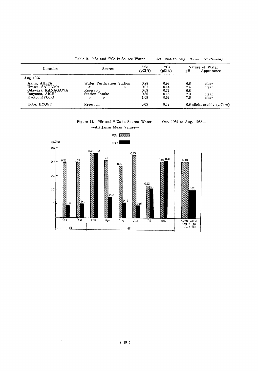|                   | <sup>90</sup> Sr and <sup>137</sup> Cs in Source Water<br>Table 9. |                 |                     |     | $-$ Oct. 1964 to Aug. 1965 $-$ (continued) |
|-------------------|--------------------------------------------------------------------|-----------------|---------------------|-----|--------------------------------------------|
| Location          | Source                                                             | 90Sr<br>(pCi/l) | $137C_S$<br>(pCi/l) | pН  | Nature of Water<br>Appearance              |
| Aug 1965          |                                                                    |                 |                     |     |                                            |
| Akita, AKITA      | Water Purification Station                                         | 0.28            | 0.93                | 6.8 | clear                                      |
| Urawa, SAITAMA    | "<br>$^{\prime\prime}$                                             | 0.01            | 0.14                | 7.4 | clear                                      |
| Odawara, KANAGAWA | Reservoir                                                          | 0.69            | 0.22                | 6.8 | $-$                                        |
| Inuvama, AICHI    | Station Intake                                                     | 0.30            | 0.16                | 7.0 | clear                                      |
| Kyoto, KYOTO      | $^{\prime\prime}$<br>n                                             | 1.05            | 0.62                | 7.6 | clear                                      |
| Kobe, HYOGO       | Reservoir                                                          | 0.05            | 0.38                |     | 6.8 slight muddy (yellow)                  |

Figure 14.  $\text{90Sr}$  and  $\text{137Cs}$  in Source Water -Oct. 1964 to Aug. 1965--All Japan Mean Values-



 $(19)$ 

 $\sim 10^6$